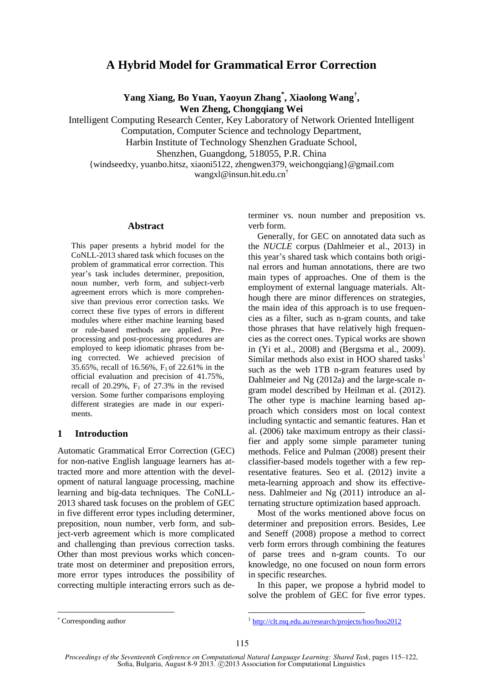# **A Hybrid Model for Grammatical Error Correction**

**Yang Xiang, Bo Yuan, Yaoyun Zhang\* , Xiaolong Wang† , Wen Zheng, Chongqiang Wei**

Intelligent Computing Research Center, Key Laboratory of Network Oriented Intelligent

Computation, Computer Science and technology Department,

Harbin Institute of Technology Shenzhen Graduate School,

Shenzhen, Guangdong, 518055, P.R. China

{windseedxy, yuanbo.hitsz, xiaoni5122, zhengwen379, weichongqiang}@gmail.com wangxl@insun.hit.edu.cn†

#### **Abstract**

This paper presents a hybrid model for the CoNLL-2013 shared task which focuses on the problem of grammatical error correction. This year's task includes determiner, preposition, noun number, verb form, and subject-verb agreement errors which is more comprehensive than previous error correction tasks. We correct these five types of errors in different modules where either machine learning based or rule-based methods are applied. Preprocessing and post-processing procedures are employed to keep idiomatic phrases from being corrected. We achieved precision of 35.65%, recall of 16.56%, F1 of 22.61% in the official evaluation and precision of 41.75%, recall of 20.29%,  $F_1$  of 27.3% in the revised version. Some further comparisons employing different strategies are made in our experiments.

## **1 Introduction**

Automatic Grammatical Error Correction (GEC) for non-native English language learners has attracted more and more attention with the development of natural language processing, machine learning and big-data techniques. The CoNLL-2013 shared task focuses on the problem of GEC in five different error types including determiner, preposition, noun number, verb form, and subject-verb agreement which is more complicated and challenging than previous correction tasks. Other than most previous works which concentrate most on determiner and preposition errors, more error types introduces the possibility of correcting multiple interacting errors such as determiner vs. noun number and preposition vs. verb form.

Generally, for GEC on annotated data such as the *NUCLE* corpus (Dahlmeier et al., 2013) in this year's shared task which contains both original errors and human annotations, there are two main types of approaches. One of them is the employment of external language materials. Although there are minor differences on strategies, the main idea of this approach is to use frequencies as a filter, such as n-gram counts, and take those phrases that have relatively high frequencies as the correct ones. Typical works are shown in (Yi et al., 2008) and (Bergsma et al., 2009). Similar methods also exist in HOO shared tasks<sup>1</sup> such as the web 1TB n-gram features used by Dahlmeier and Ng (2012a) and the large-scale ngram model described by Heilman et al. (2012). The other type is machine learning based approach which considers most on local context including syntactic and semantic features. Han et al. (2006) take maximum entropy as their classifier and apply some simple parameter tuning methods. Felice and Pulman (2008) present their classifier-based models together with a few representative features. Seo et al. (2012) invite a meta-learning approach and show its effectiveness. Dahlmeier and Ng (2011) introduce an alternating structure optimization based approach.

Most of the works mentioned above focus on determiner and preposition errors. Besides, Lee and Seneff (2008) propose a method to correct verb form errors through combining the features of parse trees and n-gram counts. To our knowledge, no one focused on noun form errors in specific researches.

In this paper, we propose a hybrid model to solve the problem of GEC for five error types.

Corresponding author

<sup>1</sup> http://clt.mq.edu.au/research/projects/hoo/hoo2012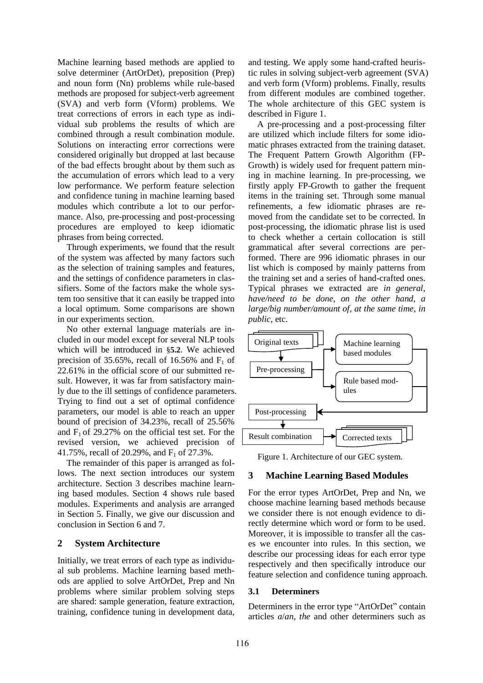Machine learning based methods are applied to solve determiner (ArtOrDet), preposition (Prep) and noun form (Nn) problems while rule-based methods are proposed for subject-verb agreement (SVA) and verb form (Vform) problems. We treat corrections of errors in each type as individual sub problems the results of which are combined through a result combination module. Solutions on interacting error corrections were considered originally but dropped at last because of the bad effects brought about by them such as the accumulation of errors which lead to a very low performance. We perform feature selection and confidence tuning in machine learning based modules which contribute a lot to our performance. Also, pre-processing and post-processing procedures are employed to keep idiomatic phrases from being corrected.

Through experiments, we found that the result of the system was affected by many factors such as the selection of training samples and features, and the settings of confidence parameters in classifiers. Some of the factors make the whole system too sensitive that it can easily be trapped into a local optimum. Some comparisons are shown in our experiments section.

No other external language materials are included in our model except for several NLP tools which will be introduced in §**5.2**. We achieved precision of 35.65%, recall of 16.56% and  $F_1$  of 22.61% in the official score of our submitted result. However, it was far from satisfactory mainly due to the ill settings of confidence parameters. Trying to find out a set of optimal confidence parameters, our model is able to reach an upper bound of precision of 34.23%, recall of 25.56% and  $F_1$  of 29.27% on the official test set. For the revised version, we achieved precision of 41.75%, recall of 20.29%, and  $F_1$  of 27.3%.

The remainder of this paper is arranged as follows. The next section introduces our system architecture. Section 3 describes machine learning based modules. Section 4 shows rule based modules. Experiments and analysis are arranged in Section 5. Finally, we give our discussion and conclusion in Section 6 and 7.

## **2 System Architecture**

Initially, we treat errors of each type as individual sub problems. Machine learning based methods are applied to solve ArtOrDet, Prep and Nn problems where similar problem solving steps are shared: sample generation, feature extraction, training, confidence tuning in development data,

and testing. We apply some hand-crafted heuristic rules in solving subject-verb agreement (SVA) and verb form (Vform) problems. Finally, results from different modules are combined together. The whole architecture of this GEC system is described in Figure 1.

A pre-processing and a post-processing filter are utilized which include filters for some idiomatic phrases extracted from the training dataset. The Frequent Pattern Growth Algorithm (FP-Growth) is widely used for frequent pattern mining in machine learning. In pre-processing, we firstly apply FP-Growth to gather the frequent items in the training set. Through some manual refinements, a few idiomatic phrases are removed from the candidate set to be corrected. In post-processing, the idiomatic phrase list is used to check whether a certain collocation is still grammatical after several corrections are performed. There are 996 idiomatic phrases in our list which is composed by mainly patterns from the training set and a series of hand-crafted ones. Typical phrases we extracted are *in general*, *have/need to be done*, *on the other hand*, *a large/big number/amount of*, *at the same time*, *in public*, etc.



Figure 1. Architecture of our GEC system.

## **3 Machine Learning Based Modules**

For the error types ArtOrDet, Prep and Nn, we choose machine learning based methods because we consider there is not enough evidence to directly determine which word or form to be used. Moreover, it is impossible to transfer all the cases we encounter into rules. In this section, we describe our processing ideas for each error type respectively and then specifically introduce our feature selection and confidence tuning approach.

### **3.1 Determiners**

Determiners in the error type "ArtOrDet" contain articles *a*/*an*, *the* and other determiners such as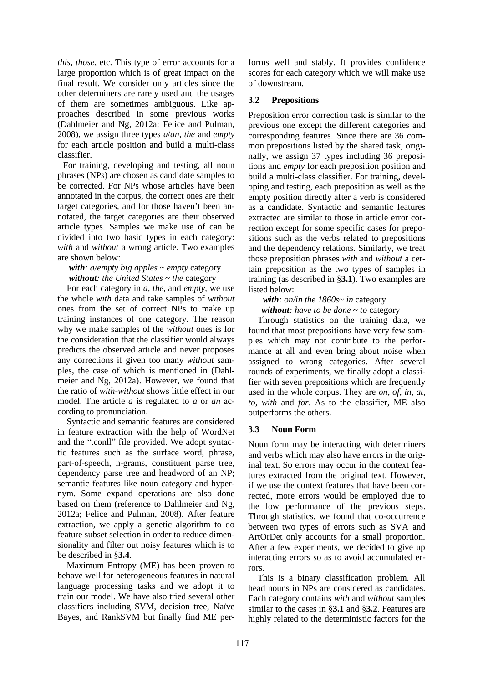*this*, *those*, etc. This type of error accounts for a large proportion which is of great impact on the final result. We consider only articles since the other determiners are rarely used and the usages of them are sometimes ambiguous. Like approaches described in some previous works (Dahlmeier and Ng, 2012a; Felice and Pulman, 2008), we assign three types *a*/*an*, *the* and *empty* for each article position and build a multi-class classifier.

For training, developing and testing, all noun phrases (NPs) are chosen as candidate samples to be corrected. For NPs whose articles have been annotated in the corpus, the correct ones are their target categories, and for those haven't been annotated, the target categories are their observed article types. Samples we make use of can be divided into two basic types in each category: *with* and *without* a wrong article. Two examples are shown below:

*with: a/empty big apples* ~ *empty* category *without: the United States* ~ *the* category

For each category in *a*, *the*, and *empty*, we use the whole *with* data and take samples of *without* ones from the set of correct NPs to make up training instances of one category. The reason why we make samples of the *without* ones is for the consideration that the classifier would always predicts the observed article and never proposes any corrections if given too many *without* samples, the case of which is mentioned in (Dahlmeier and Ng, 2012a). However, we found that the ratio of *with-without* shows little effect in our model. The article *a* is regulated to *a* or *an* according to pronunciation.

Syntactic and semantic features are considered in feature extraction with the help of WordNet and the ".conll" file provided. We adopt syntactic features such as the surface word, phrase, part-of-speech, n-grams, constituent parse tree, dependency parse tree and headword of an NP; semantic features like noun category and hypernym. Some expand operations are also done based on them (reference to Dahlmeier and Ng, 2012a; Felice and Pulman, 2008). After feature extraction, we apply a genetic algorithm to do feature subset selection in order to reduce dimensionality and filter out noisy features which is to be described in §**3.4**.

Maximum Entropy (ME) has been proven to behave well for heterogeneous features in natural language processing tasks and we adopt it to train our model. We have also tried several other classifiers including SVM, decision tree, Naïve Bayes, and RankSVM but finally find ME performs well and stably. It provides confidence scores for each category which we will make use of downstream.

## **3.2 Prepositions**

Preposition error correction task is similar to the previous one except the different categories and corresponding features. Since there are 36 common prepositions listed by the shared task, originally, we assign 37 types including 36 prepositions and *empty* for each preposition position and build a multi-class classifier. For training, developing and testing, each preposition as well as the empty position directly after a verb is considered as a candidate. Syntactic and semantic features extracted are similar to those in article error correction except for some specific cases for prepositions such as the verbs related to prepositions and the dependency relations. Similarly, we treat those preposition phrases *with* and *without* a certain preposition as the two types of samples in training (as described in §**3.1**). Two examples are listed below:

*with: on/in the 1860s*~ *in* category *without: have to be done* ~ *to* category

Through statistics on the training data, we found that most prepositions have very few samples which may not contribute to the performance at all and even bring about noise when assigned to wrong categories. After several rounds of experiments, we finally adopt a classifier with seven prepositions which are frequently used in the whole corpus. They are *on*, *of*, *in*, *at*, *to*, *with* and *for*. As to the classifier, ME also outperforms the others.

## **3.3 Noun Form**

Noun form may be interacting with determiners and verbs which may also have errors in the original text. So errors may occur in the context features extracted from the original text. However, if we use the context features that have been corrected, more errors would be employed due to the low performance of the previous steps. Through statistics, we found that co-occurrence between two types of errors such as SVA and ArtOrDet only accounts for a small proportion. After a few experiments, we decided to give up interacting errors so as to avoid accumulated errors.

This is a binary classification problem. All head nouns in NPs are considered as candidates. Each category contains *with* and *without* samples similar to the cases in §**3.1** and §**3.2**. Features are highly related to the deterministic factors for the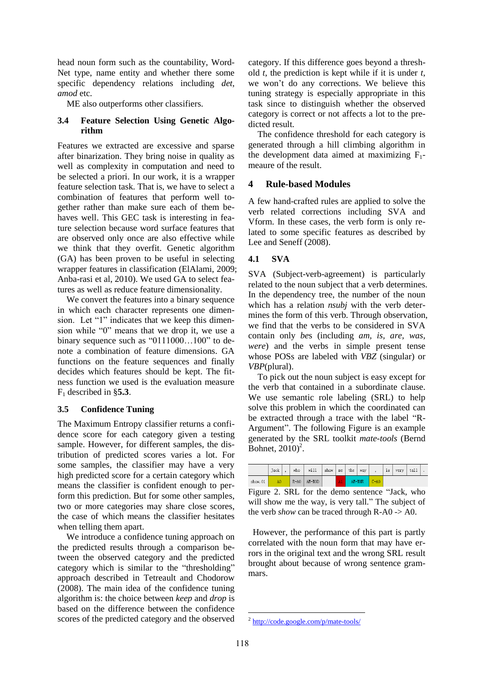head noun form such as the countability, Word-Net type, name entity and whether there some specific dependency relations including *det*, *amod* etc.

ME also outperforms other classifiers.

## **3.4 Feature Selection Using Genetic Algorithm**

Features we extracted are excessive and sparse after binarization. They bring noise in quality as well as complexity in computation and need to be selected a priori. In our work, it is a wrapper feature selection task. That is, we have to select a combination of features that perform well together rather than make sure each of them behaves well. This GEC task is interesting in feature selection because word surface features that are observed only once are also effective while we think that they overfit. Genetic algorithm (GA) has been proven to be useful in selecting wrapper features in classification (ElAlami, 2009; Anba-rasi et al, 2010). We used GA to select features as well as reduce feature dimensionality.

We convert the features into a binary sequence in which each character represents one dimension. Let "1" indicates that we keep this dimension while "0" means that we drop it, we use a binary sequence such as "0111000...100" to denote a combination of feature dimensions. GA functions on the feature sequences and finally decides which features should be kept. The fitness function we used is the evaluation measure  $F_1$  described in  $\S$ 5.3.

### **3.5 Confidence Tuning**

The Maximum Entropy classifier returns a confidence score for each category given a testing sample. However, for different samples, the distribution of predicted scores varies a lot. For some samples, the classifier may have a very high predicted score for a certain category which means the classifier is confident enough to perform this prediction. But for some other samples, two or more categories may share close scores, the case of which means the classifier hesitates when telling them apart.

We introduce a confidence tuning approach on the predicted results through a comparison between the observed category and the predicted category which is similar to the "thresholding" approach described in Tetreault and Chodorow (2008). The main idea of the confidence tuning algorithm is: the choice between *keep* and *drop* is based on the difference between the confidence scores of the predicted category and the observed category. If this difference goes beyond a threshold *t*, the prediction is kept while if it is under *t*, we won't do any corrections. We believe this tuning strategy is especially appropriate in this task since to distinguish whether the observed category is correct or not affects a lot to the predicted result.

The confidence threshold for each category is generated through a hill climbing algorithm in the development data aimed at maximizing  $F_1$ meaure of the result.

## **4 Rule-based Modules**

A few hand-crafted rules are applied to solve the verb related corrections including SVA and Vform. In these cases, the verb form is only related to some specific features as described by Lee and Seneff (2008).

## **4.1 SVA**

SVA (Subject-verb-agreement) is particularly related to the noun subject that a verb determines. In the dependency tree, the number of the noun which has a relation *nsubj* with the verb determines the form of this verb. Through observation, we find that the verbs to be considered in SVA contain only *be*s (including *am, is, are, was, were*) and the verbs in simple present tense whose POSs are labeled with *VBZ* (singular) or *VBP*(plural).

To pick out the noun subject is easy except for the verb that contained in a subordinate clause. We use semantic role labeling (SRL) to help solve this problem in which the coordinated can be extracted through a trace with the label "R-Argument". The following Figure is an example generated by the SRL toolkit *mate-tools* (Bernd Bohnet, 2010)<sup>2</sup>.

|          | Jack |  | who      | will   | show | me | the    | way |      | 1s | very | tall |  |
|----------|------|--|----------|--------|------|----|--------|-----|------|----|------|------|--|
| show. 01 |      |  | $R - A0$ | AM-MOD |      | Å1 | AN-NNR |     | C-A0 |    |      |      |  |

Figure 2. SRL for the demo sentence "Jack, who will show me the way, is very tall." The subject of the verb *show* can be traced through R-A0 -> A0.

 However, the performance of this part is partly correlated with the noun form that may have errors in the original text and the wrong SRL result brought about because of wrong sentence grammars.

 <sup>2</sup> http://code.google.com/p/mate-tools/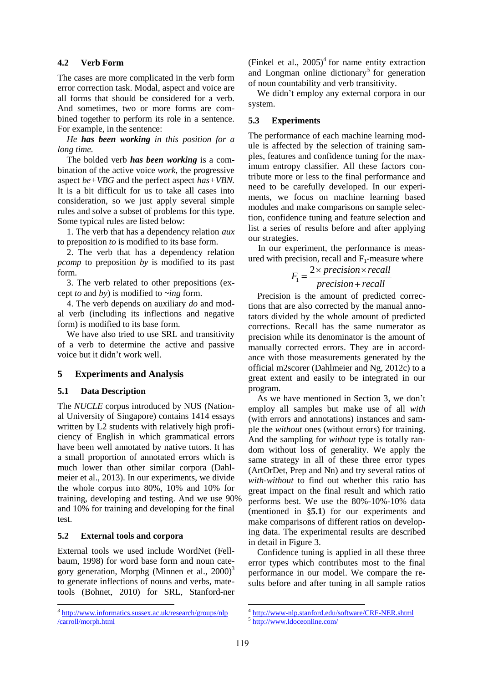### **4.2 Verb Form**

The cases are more complicated in the verb form error correction task. Modal, aspect and voice are all forms that should be considered for a verb. And sometimes, two or more forms are combined together to perform its role in a sentence. For example, in the sentence:

*He has been working in this position for a long time.*

The bolded verb *has been working* is a combination of the active voice *work,* the progressive aspect *be+VBG* and the perfect aspect *has+VBN.*  It is a bit difficult for us to take all cases into consideration, so we just apply several simple rules and solve a subset of problems for this type. Some typical rules are listed below:

1. The verb that has a dependency relation *aux* to preposition *to* is modified to its base form.

2. The verb that has a dependency relation *pcomp* to preposition *by* is modified to its past form.

3. The verb related to other prepositions (except *to* and *by*) is modified to *~ing* form.

4. The verb depends on auxiliary *do* and modal verb (including its inflections and negative form) is modified to its base form.

We have also tried to use SRL and transitivity of a verb to determine the active and passive voice but it didn't work well.

#### **5 Experiments and Analysis**

#### **5.1 Data Description**

The *NUCLE* corpus introduced by NUS (National University of Singapore) contains 1414 essays written by L2 students with relatively high proficiency of English in which grammatical errors have been well annotated by native tutors. It has a small proportion of annotated errors which is much lower than other similar corpora (Dahlmeier et al., 2013). In our experiments, we divide the whole corpus into 80%, 10% and 10% for training, developing and testing. And we use 90% and 10% for training and developing for the final test.

#### **5.2 External tools and corpora**

External tools we used include WordNet (Fellbaum, 1998) for word base form and noun category generation, Morphg (Minnen et al., 2000)<sup>3</sup> to generate inflections of nouns and verbs, matetools (Bohnet, 2010) for SRL, Stanford-ner

(Finkel et al.,  $2005$ )<sup>4</sup> for name entity extraction and Longman online dictionary<sup>5</sup> for generation of noun countability and verb transitivity.

We didn't employ any external corpora in our system.

#### **5.3 Experiments**

The performance of each machine learning module is affected by the selection of training samples, features and confidence tuning for the maximum entropy classifier. All these factors contribute more or less to the final performance and need to be carefully developed. In our experiments, we focus on machine learning based modules and make comparisons on sample selection, confidence tuning and feature selection and list a series of results before and after applying our strategies.

In our experiment, the performance is meas-

ured with precision, recall and F<sub>1</sub>-measure where  

$$
F_1 = \frac{2 \times precision \times recall}{precision + recall}
$$

Precision is the amount of predicted corrections that are also corrected by the manual annotators divided by the whole amount of predicted corrections. Recall has the same numerator as precision while its denominator is the amount of manually corrected errors. They are in accordance with those measurements generated by the official m2scorer (Dahlmeier and Ng, 2012c) to a great extent and easily to be integrated in our program.

As we have mentioned in Section 3, we don't employ all samples but make use of all *with* (with errors and annotations) instances and sample the *without* ones (without errors) for training. And the sampling for *without* type is totally random without loss of generality. We apply the same strategy in all of these three error types (ArtOrDet, Prep and Nn) and try several ratios of *with-without* to find out whether this ratio has great impact on the final result and which ratio performs best. We use the 80%-10%-10% data (mentioned in §**5.1**) for our experiments and make comparisons of different ratios on developing data. The experimental results are described in detail in Figure 3.

Confidence tuning is applied in all these three error types which contributes most to the final performance in our model. We compare the results before and after tuning in all sample ratios

<sup>&</sup>lt;sup>3</sup> http://www.informatics.sussex.ac.uk/research/groups/nlp /carroll/morph.html

<sup>&</sup>lt;sup>4</sup> http://www-nlp.stanford.edu/software/CRF-NER.shtml

<sup>5</sup> http://www.ldoceonline.com/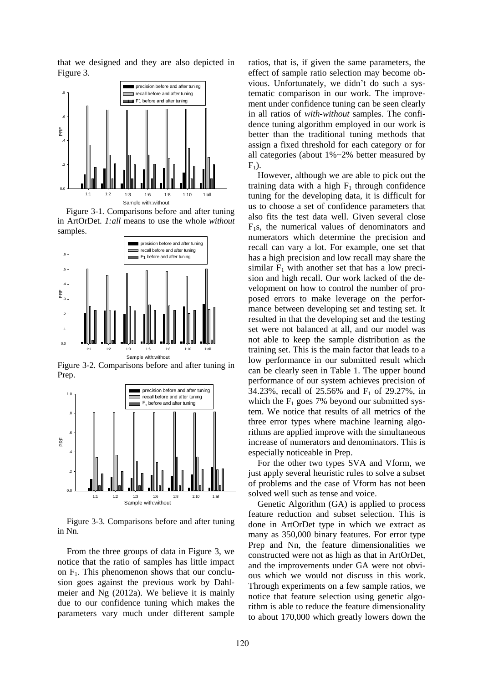that we designed and they are also depicted in Figure 3.



Figure 3-1. Comparisons before and after tuning in ArtOrDet. *1:all* means to use the whole *without* samples.



Figure 3-2. Comparisons before and after tuning in Prep.



Figure 3-3. Comparisons before and after tuning in Nn.

From the three groups of data in Figure 3, we notice that the ratio of samples has little impact on  $F_1$ . This phenomenon shows that our conclusion goes against the previous work by Dahlmeier and Ng (2012a). We believe it is mainly due to our confidence tuning which makes the parameters vary much under different sample ratios, that is, if given the same parameters, the effect of sample ratio selection may become obvious. Unfortunately, we didn't do such a systematic comparison in our work. The improvement under confidence tuning can be seen clearly in all ratios of *with-without* samples. The confidence tuning algorithm employed in our work is better than the traditional tuning methods that assign a fixed threshold for each category or for all categories (about 1%~2% better measured by  $F_1$ ).

However, although we are able to pick out the training data with a high  $F_1$  through confidence tuning for the developing data, it is difficult for us to choose a set of confidence parameters that also fits the test data well. Given several close  $F_1$ s, the numerical values of denominators and numerators which determine the precision and recall can vary a lot. For example, one set that has a high precision and low recall may share the similar  $F_1$  with another set that has a low precision and high recall. Our work lacked of the development on how to control the number of proposed errors to make leverage on the performance between developing set and testing set. It resulted in that the developing set and the testing set were not balanced at all, and our model was not able to keep the sample distribution as the training set. This is the main factor that leads to a low performance in our submitted result which can be clearly seen in Table 1. The upper bound performance of our system achieves precision of 34.23%, recall of 25.56% and  $F_1$  of 29.27%, in which the  $F_1$  goes 7% beyond our submitted system. We notice that results of all metrics of the three error types where machine learning algorithms are applied improve with the simultaneous increase of numerators and denominators. This is especially noticeable in Prep.

For the other two types SVA and Vform, we just apply several heuristic rules to solve a subset of problems and the case of Vform has not been solved well such as tense and voice.

Genetic Algorithm (GA) is applied to process feature reduction and subset selection. This is done in ArtOrDet type in which we extract as many as 350,000 binary features. For error type Prep and Nn, the feature dimensionalities we constructed were not as high as that in ArtOrDet, and the improvements under GA were not obvious which we would not discuss in this work. Through experiments on a few sample ratios, we notice that feature selection using genetic algorithm is able to reduce the feature dimensionality to about 170,000 which greatly lowers down the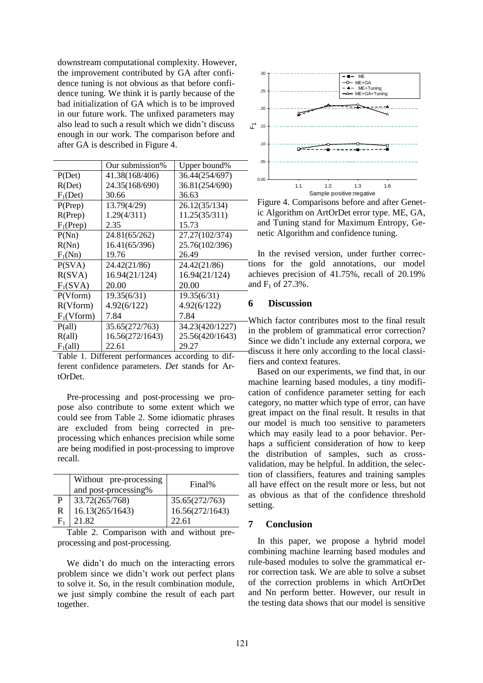downstream computational complexity. However, the improvement contributed by GA after confidence tuning is not obvious as that before confidence tuning. We think it is partly because of the bad initialization of GA which is to be improved in our future work. The unfixed parameters may also lead to such a result which we didn't discuss enough in our work. The comparison before and after GA is described in Figure 4.

|                 | Our submission% | Upper bound%    |
|-----------------|-----------------|-----------------|
| P(Det)          | 41.38(168/406)  | 36.44(254/697)  |
| R(Det)          | 24.35(168/690)  | 36.81(254/690)  |
| $F_1(Det)$      | 30.66           | 36.63           |
| P(Prep)         | 13.79(4/29)     | 26.12(35/134)   |
| R(Prep)         | 1.29(4/311)     | 11.25(35/311)   |
| $F_1$ (Prep)    | 2.35            | 15.73           |
| P(Nn)           | 24.81(65/262)   | 27.27(102/374)  |
| R(Nn)           | 16.41(65/396)   | 25.76(102/396)  |
| $F_1(Nn)$       | 19.76           | 26.49           |
| P(SVA)          | 24.42(21/86)    | 24.42(21/86)    |
| R(SVA)          | 16.94(21/124)   | 16.94(21/124)   |
| $F_1(SVA)$      | 20.00           | 20.00           |
| P(Vform)        | 19.35(6/31)     | 19.35(6/31)     |
| R(Vform)        | 4.92(6/122)     | 4.92(6/122)     |
| $F_1(Vform)$    | 7.84            | 7.84            |
| $P(\text{all})$ | 35.65(272/763)  | 34.23(420/1227) |
| R(all)          | 16.56(272/1643) | 25.56(420/1643) |
| $F_1$ (all)     | 22.61           | 29.27           |

Table 1. Different performances according to different confidence parameters. *Det* stands for ArtOrDet.

Pre-processing and post-processing we propose also contribute to some extent which we could see from Table 2. Some idiomatic phrases are excluded from being corrected in preprocessing which enhances precision while some are being modified in post-processing to improve recall.

|   | Without pre-processing<br>and post-processing% | Final%          |
|---|------------------------------------------------|-----------------|
| P | 33.72(265/768)                                 | 35.65(272/763)  |
| R | 16.13(265/1643)                                | 16.56(272/1643) |
|   | 21.82                                          | 22.61           |

Table 2. Comparison with and without preprocessing and post-processing.

We didn't do much on the interacting errors problem since we didn't work out perfect plans to solve it. So, in the result combination module, we just simply combine the result of each part together.



Figure 4. Comparisons before and after Genetic Algorithm on ArtOrDet error type. ME, GA, and Tuning stand for Maximum Entropy, Genetic Algorithm and confidence tuning.

In the revised version, under further corrections for the gold annotations, our model achieves precision of 41.75%, recall of 20.19% and  $F_1$  of 27.3%.

### **6 Discussion**

Which factor contributes most to the final result in the problem of grammatical error correction? Since we didn't include any external corpora, we discuss it here only according to the local classifiers and context features.

Based on our experiments, we find that, in our machine learning based modules, a tiny modification of confidence parameter setting for each category, no matter which type of error, can have great impact on the final result. It results in that our model is much too sensitive to parameters which may easily lead to a poor behavior. Perhaps a sufficient consideration of how to keep the distribution of samples, such as crossvalidation, may be helpful. In addition, the selection of classifiers, features and training samples all have effect on the result more or less, but not as obvious as that of the confidence threshold setting.

#### **7 Conclusion**

In this paper, we propose a hybrid model combining machine learning based modules and rule-based modules to solve the grammatical error correction task. We are able to solve a subset of the correction problems in which ArtOrDet and Nn perform better. However, our result in the testing data shows that our model is sensitive